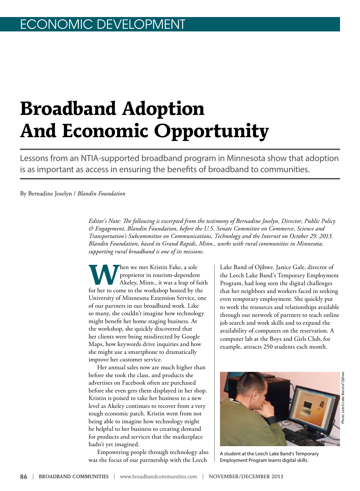# **Broadband Adoption And Economic Opportunity**

Lessons from an NTIA-supported broadband program in Minnesota show that adoption is as important as access in ensuring the benefits of broadband to communities.

By Bernadine Joselyn / *Blandin Foundation*

*Editor's Note: The following is excerpted from the testimony of Bernadine Joselyn, Director, Public Policy & Engagement, Blandin Foundation, before the U.S. Senate Committee on Commerce, Science and Transportation's Subcommittee on Communications, Technology and the Internet on October 29, 2013. Blandin Foundation, based in Grand Rapids, Minn., works with rural communities in Minnesota; supporting rural broadband is one of its missions.*

**When we met Kristin Fake, a sole**<br>
proprietor in tourism-dependent<br>
Akeley, Minn., it was a leap of faith<br>
for her to some to the workshop heated by the proprietor in tourism-dependent for her to come to the workshop hosted by the University of Minnesota Extension Service, one of our partners in our broadband work. Like so many, she couldn't imagine how technology might benefit her home staging business. At the workshop, she quickly discovered that her clients were being misdirected by Google Maps, how keywords drive inquiries and how she might use a smartphone to dramatically improve her customer service.

Her annual sales now are much higher than before she took the class, and products she advertises on Facebook often are purchased before she even gets them displayed in her shop. Kristin is poised to take her business to a new level as Akeley continues to recover from a very tough economic patch. Kristin went from not being able to imagine how technology might be helpful to her business to creating demand for products and services that the marketplace hadn't yet imagined.

Empowering people through technology also was the focus of our partnership with the Leech

Lake Band of Ojibwe. Janice Gale, director of the Leech Lake Band's Temporary Employment Program, had long seen the digital challenges that her neighbors and workers faced in seeking even temporary employment. She quickly put to work the resources and relationships available through our network of partners to teach online job search and work skills and to expand the availability of computers on the reservation. A computer lab at the Boys and Girls Club, for example, attracts 250 students each month.



A student at the Leech Lake Band's Temporary Employment Program learns digital skills.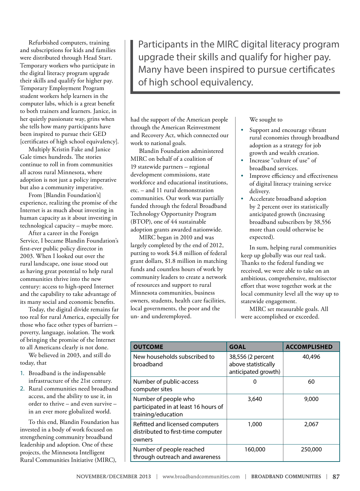Refurbished computers, training and subscriptions for kids and families were distributed through Head Start. Temporary workers who participate in the digital literacy program upgrade their skills and qualify for higher pay. Temporary Employment Program student workers help learners in the computer labs, which is a great benefit to both trainers and learners. Janice, in her quietly passionate way, grins when she tells how many participants have been inspired to pursue their GED [certificates of high school equivalency].

Multiply Kristin Fake and Janice Gale times hundreds. The stories continue to roll in from communities all across rural Minnesota, where adoption is not just a policy imperative but also a community imperative.

From [Blandin Foundation's] experience, realizing the promise of the Internet is as much about investing in human capacity as it about investing in technological capacity – maybe more.

After a career in the Foreign Service, I became Blandin Foundation's first-ever public policy director in 2003. When I looked out over the rural landscape, one issue stood out as having great potential to help rural communities thrive into the new century: access to high-speed Internet and the capability to take advantage of its many social and economic benefits.

Today, the digital divide remains far too real for rural America, especially for those who face other types of barriers – poverty, language, isolation. The work of bringing the promise of the lnternet to all Americans clearly is not done.

We believed in 2003, and still do today, that

- 1. Broadband is the indispensable infrastructure of the 21st century.
- 2. Rural communities need broadband access, and the ability to use it, in order to thrive – and even survive – in an ever more globalized world.

To this end, Blandin Foundation has invested in a body of work focused on strengthening community broadband leadership and adoption. One of these projects, the Minnesota Intelligent Rural Communities Initiative (MIRC),

Participants in the MIRC digital literacy program upgrade their skills and qualify for higher pay. Many have been inspired to pursue certificates of high school equivalency.

had the support of the American people through the American Reinvestment and Recovery Act, which connected our work to national goals.

Blandin Foundation administered MIRC on behalf of a coalition of 19 statewide partners – regional development commissions, state workforce and educational institutions, etc. – and 11 rural demonstration communities. Our work was partially funded through the federal Broadband Technology Opportunity Program (BTOP), one of 44 sustainable adoption grants awarded nationwide.

MIRC began in 2010 and was largely completed by the end of 2012, putting to work \$4.8 million of federal grant dollars, \$1.8 million in matching funds and countless hours of work by community leaders to create a network of resources and support to rural Minnesota communities, business owners, students, health care facilities, local governments, the poor and the un- and underemployed.

We sought to

- Support and encourage vibrant rural economies through broadband adoption as a strategy for job growth and wealth creation.
- Increase "culture of use" of broadband services.
- Improve efficiency and effectiveness of digital literacy training service delivery.
- Accelerate broadband adoption by 2 percent over its statistically anticipated growth (increasing broadband subscribers by 38,556 more than could otherwise be expected).

In sum, helping rural communities keep up globally was our real task. Thanks to the federal funding we received, we were able to take on an ambitious, comprehensive, multisector effort that wove together work at the local community level all the way up to statewide engagement.

MIRC set measurable goals. All were accomplished or exceeded.

| <b>OUTCOME</b>                                                                     | <b>GOAL</b>                                                     | <b>ACCOMPLISHED</b> |
|------------------------------------------------------------------------------------|-----------------------------------------------------------------|---------------------|
| New households subscribed to<br>broadband                                          | 38,556 (2 percent<br>above statistically<br>anticipated growth) | 40,496              |
| Number of public-access<br>computer sites                                          | ი                                                               | 60                  |
| Number of people who<br>participated in at least 16 hours of<br>training/education | 3,640                                                           | 9,000               |
| Refitted and licensed computers<br>distributed to first-time computer<br>owners    | 1,000                                                           | 2,067               |
| Number of people reached<br>through outreach and awareness                         | 160,000                                                         | 250,000             |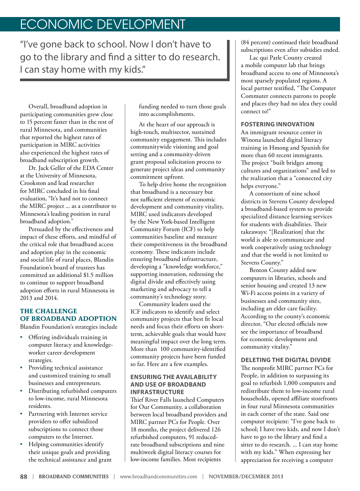## ECONOMIC DEVELOPMENT

"I've gone back to school. Now I don't have to go to the library and find a sitter to do research. I can stay home with my kids."

Overall, broadband adoption in participating communities grew close to 15 percent faster than in the rest of rural Minnesota, and communities that reported the highest rates of participation in MIRC activities also experienced the highest rates of broadband subscription growth.

Dr. Jack Geller of the EDA Center at the University of Minnesota, Crookston and lead researcher for MIRC concluded in his final evaluation, "It's hard not to connect the MIRC project ... as a contributor to Minnesota's leading position in rural broadband adoption."

Persuaded by the effectiveness and impact of these efforts, and mindful of the critical role that broadband access and adoption play in the economic and social life of rural places, Blandin Foundation's board of trustees has committed an additional \$1.5 million to continue to support broadband adoption efforts in rural Minnesota in 2013 and 2014.

## **THE CHALLENGE OF BROADBAND ADOPTION**

Blandin Foundation's strategies include

- Offering individuals training in computer literacy and knowledgeworker career development strategies.
- Providing technical assistance and customized training to small businesses and entrepreneurs.
- Distributing refurbished computers to low-income, rural Minnesota residents.
- Partnering with Internet service providers to offer subsidized subscriptions to connect those computers to the Internet.
- Helping communities identify their unique goals and providing the technical assistance and grant

funding needed to turn those goals into accomplishments.

At the heart of our approach is high-touch, multisector, sustained community engagement. This includes communitywide visioning and goal setting and a community-driven grant proposal solicitation process to generate project ideas and community commitment upfront.

To help drive home the recognition that broadband is a necessary but not sufficient element of economic development and community vitality, MIRC used indicators developed by the New York-based Intelligent Community Forum (ICF) to help communities baseline and measure their competitiveness in the broadband economy. These indicators include ensuring broadband infrastructure, developing a "knowledge workforce," supporting innovation, redressing the digital divide and effectively using marketing and advocacy to tell a community's technology story.

Community leaders used the ICF indicators to identify and select community projects that best fit local needs and focus their efforts on shortterm, achievable goals that would have meaningful impact over the long term. More than 100 community-identified community projects have been funded so far. Here are a few examples.

#### **ENSURING THE AVAILABILITY AND USE OF BROADBAND INFRASTRUCTURE**

Thief River Falls launched Computers for Our Community, a collaboration between local broadband providers and MIRC partner PCs for People. Over 18 months, the project delivered 126 refurbished computers, 91 reducedrate broadband subscriptions and nine multiweek digital literacy courses for low-income families. Most recipients

(84 percent) continued their broadband subscriptions even after subsidies ended.

Lac qui Parle County created a mobile computer lab that brings broadband access to one of Minnesota's most sparsely populated regions. A local partner testified, "The Computer Commuter connects patrons to people and places they had no idea they could connect to!"

#### **FOSTERING INNOVATION**

An immigrant resource center in Winona launched digital literacy training in Hmong and Spanish for more than 60 recent immigrants. The project "built bridges among cultures and organizations" and led to the realization that a "connected city helps everyone."

A consortium of nine school districts in Stevens County developed a broadband-based system to provide specialized distance learning services for students with disabilities. Their takeaways: "[Realization] that the world is able to communicate and work cooperatively using technology and that the world is not limited to Stevens County."

Benton County added new computers in libraries, schools and senior housing and created 13 new Wi-Fi access points in a variety of businesses and community sites, including an elder care facility. According to the county's economic director, "Our elected officials now see the importance of broadband for economic development and community vitality."

### **DELETING THE DIGITAL DIVIDE**

The nonprofit MIRC partner PCs for People, in addition to surpassing its goal to refurbish 1,000 computers and redistribute them to low-income rural households, opened affiliate storefronts in four rural Minnesota communities in each corner of the state. Said one computer recipient: "I've gone back to school; I have two kids, and now I don't have to go to the library and find a sitter to do research. ... I can stay home with my kids." When expressing her appreciation for receiving a computer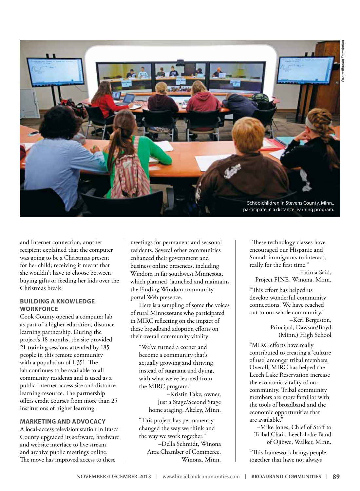

and Internet connection, another recipient explained that the computer was going to be a Christmas present for her child; receiving it meant that she wouldn't have to choose between buying gifts or feeding her kids over the Christmas break.

#### **BUILDING A KNOWLEDGE WORKFORCE**

Cook County opened a computer lab as part of a higher-education, distance learning partnership. During the project's 18 months, the site provided 21 training sessions attended by 185 people in this remote community with a population of 1,351. The lab continues to be available to all community residents and is used as a public Internet access site and distance learning resource. The partnership offers credit courses from more than 25 institutions of higher learning.

#### **MARKETING AND ADVOCACY**

A local-access television station in Itasca County upgraded its software, hardware and website interface to live stream and archive public meetings online. The move has improved access to these

meetings for permanent and seasonal residents. Several other communities enhanced their government and business online presences, including Windom in far southwest Minnesota, which planned, launched and maintains the Finding Windom community portal Web presence.

Here is a sampling of some the voices of rural Minnesotans who participated in MIRC reflecting on the impact of these broadband adoption efforts on their overall community vitality:

"We've turned a corner and become a community that's actually growing and thriving, instead of stagnant and dying, with what we've learned from the MIRC program."

> –Kristin Fake, owner, Just a Stage/Second Stage home staging, Akeley, Minn.

"This project has permanently changed the way we think and the way we work together."

> –Della Schmidt, Winona Area Chamber of Commerce, Winona, Minn.

"These technology classes have encouraged our Hispanic and Somali immigrants to interact, really for the first time."

–Fatima Said, Project FINE, Winona, Minn.

"This effort has helped us develop wonderful community connections. We have reached out to our whole community."

> –Keri Bergeston, Principal, Dawson/Boyd (Minn.) High School

"MIRC efforts have really contributed to creating a 'culture of use' amongst tribal members. Overall, MIRC has helped the Leech Lake Reservation increase the economic vitality of our community. Tribal community members are more familiar with the tools of broadband and the economic opportunities that are available."

–Mike Jones, Chief of Staff to Tribal Chair, Leech Lake Band of Ojibwe, Walker, Minn.

"This framework brings people together that have not always